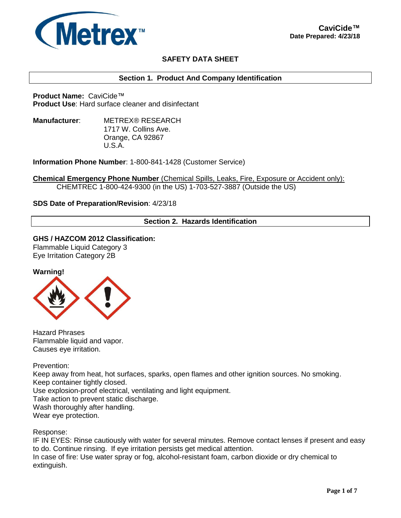

# **SAFETY DATA SHEET**

### **Section 1. Product And Company Identification**

**Product Name:** CaviCide™ **Product Use**: Hard surface cleaner and disinfectant

**Manufacturer**: METREX® RESEARCH 1717 W. Collins Ave. Orange, CA 92867 U.S.A.

**Information Phone Number**: 1-800-841-1428 (Customer Service)

**Chemical Emergency Phone Number** (Chemical Spills, Leaks, Fire, Exposure or Accident only): CHEMTREC 1-800-424-9300 (in the US) 1-703-527-3887 (Outside the US)

### **SDS Date of Preparation/Revision**: 4/23/18

## **Section 2. Hazards Identification**

**GHS / HAZCOM 2012 Classification:**

Flammable Liquid Category 3 Eye Irritation Category 2B





Hazard Phrases Flammable liquid and vapor. Causes eye irritation.

Prevention:

Keep away from heat, hot surfaces, sparks, open flames and other ignition sources. No smoking. Keep container tightly closed. Use explosion-proof electrical, ventilating and light equipment. Take action to prevent static discharge. Wash thoroughly after handling. Wear eye protection.

Response:

IF IN EYES: Rinse cautiously with water for several minutes. Remove contact lenses if present and easy to do. Continue rinsing. If eye irritation persists get medical attention. In case of fire: Use water spray or fog, alcohol-resistant foam, carbon dioxide or dry chemical to extinguish.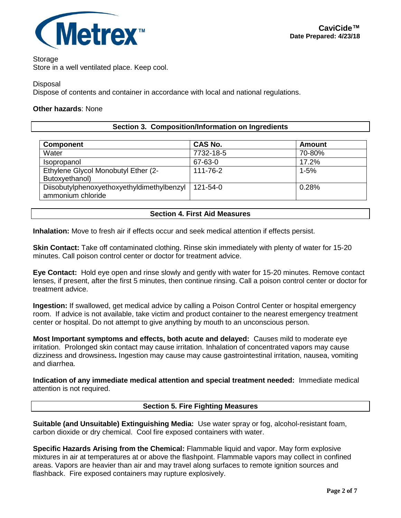

Storage

Store in a well ventilated place. Keep cool.

Disposal

Dispose of contents and container in accordance with local and national regulations.

### **Other hazards**: None

### **Section 3. Composition/Information on Ingredients**

| <b>CAS No.</b> | Amount   |
|----------------|----------|
| 7732-18-5      | 70-80%   |
| 67-63-0        | 17.2%    |
| 111-76-2       | $1 - 5%$ |
|                |          |
| 121-54-0       | 0.28%    |
|                |          |

### **Section 4. First Aid Measures**

**Inhalation:** Move to fresh air if effects occur and seek medical attention if effects persist.

**Skin Contact:** Take off contaminated clothing. Rinse skin immediately with plenty of water for 15-20 minutes. Call poison control center or doctor for treatment advice.

**Eye Contact:** Hold eye open and rinse slowly and gently with water for 15-20 minutes. Remove contact lenses, if present, after the first 5 minutes, then continue rinsing. Call a poison control center or doctor for treatment advice.

**Ingestion:** If swallowed, get medical advice by calling a Poison Control Center or hospital emergency room. If advice is not available, take victim and product container to the nearest emergency treatment center or hospital. Do not attempt to give anything by mouth to an unconscious person.

**Most Important symptoms and effects, both acute and delayed:** Causes mild to moderate eye irritation. Prolonged skin contact may cause irritation. Inhalation of concentrated vapors may cause dizziness and drowsiness**.** Ingestion may cause may cause gastrointestinal irritation, nausea, vomiting and diarrhea.

**Indication of any immediate medical attention and special treatment needed:** Immediate medical attention is not required.

## **Section 5. Fire Fighting Measures**

**Suitable (and Unsuitable) Extinguishing Media:** Use water spray or fog, alcohol-resistant foam, carbon dioxide or dry chemical. Cool fire exposed containers with water.

**Specific Hazards Arising from the Chemical:** Flammable liquid and vapor. May form explosive mixtures in air at temperatures at or above the flashpoint. Flammable vapors may collect in confined areas. Vapors are heavier than air and may travel along surfaces to remote ignition sources and flashback. Fire exposed containers may rupture explosively.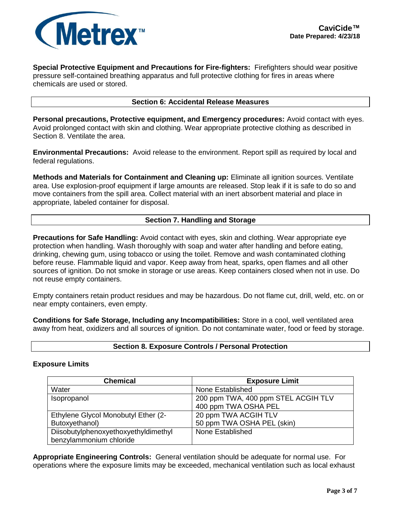

**Special Protective Equipment and Precautions for Fire-fighters:** Firefighters should wear positive pressure self-contained breathing apparatus and full protective clothing for fires in areas where chemicals are used or stored.

### **Section 6: Accidental Release Measures**

**Personal precautions, Protective equipment, and Emergency procedures:** Avoid contact with eyes. Avoid prolonged contact with skin and clothing. Wear appropriate protective clothing as described in Section 8. Ventilate the area.

**Environmental Precautions:** Avoid release to the environment. Report spill as required by local and federal regulations.

**Methods and Materials for Containment and Cleaning up:** Eliminate all ignition sources. Ventilate area. Use explosion-proof equipment if large amounts are released. Stop leak if it is safe to do so and move containers from the spill area. Collect material with an inert absorbent material and place in appropriate, labeled container for disposal.

## **Section 7. Handling and Storage**

**Precautions for Safe Handling:** Avoid contact with eyes, skin and clothing. Wear appropriate eye protection when handling. Wash thoroughly with soap and water after handling and before eating, drinking, chewing gum, using tobacco or using the toilet. Remove and wash contaminated clothing before reuse. Flammable liquid and vapor. Keep away from heat, sparks, open flames and all other sources of ignition. Do not smoke in storage or use areas. Keep containers closed when not in use. Do not reuse empty containers.

Empty containers retain product residues and may be hazardous. Do not flame cut, drill, weld, etc. on or near empty containers, even empty.

**Conditions for Safe Storage, Including any Incompatibilities:** Store in a cool, well ventilated area away from heat, oxidizers and all sources of ignition. Do not contaminate water, food or feed by storage.

### **Section 8. Exposure Controls / Personal Protection**

### **Exposure Limits**

| <b>Chemical</b>                                                 | <b>Exposure Limit</b>                                       |
|-----------------------------------------------------------------|-------------------------------------------------------------|
| Water                                                           | None Established                                            |
| Isopropanol                                                     | 200 ppm TWA, 400 ppm STEL ACGIH TLV<br>400 ppm TWA OSHA PEL |
| Ethylene Glycol Monobutyl Ether (2-                             | 20 ppm TWA ACGIH TLV                                        |
| Butoxyethanol)                                                  | 50 ppm TWA OSHA PEL (skin)                                  |
| Diisobutylphenoxyethoxyethyldimethyl<br>benzylammonium chloride | None Established                                            |

**Appropriate Engineering Controls:** General ventilation should be adequate for normal use. For operations where the exposure limits may be exceeded, mechanical ventilation such as local exhaust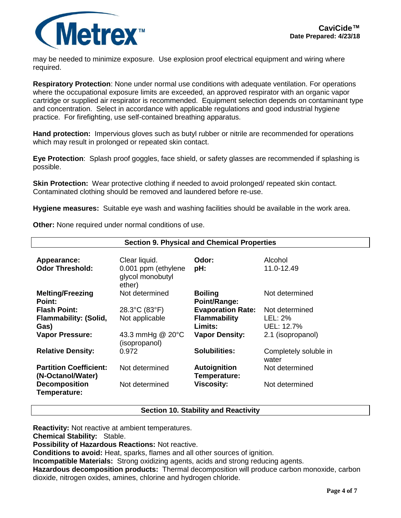

may be needed to minimize exposure. Use explosion proof electrical equipment and wiring where required.

**Respiratory Protection**: None under normal use conditions with adequate ventilation. For operations where the occupational exposure limits are exceeded, an approved respirator with an organic vapor cartridge or supplied air respirator is recommended. Equipment selection depends on contaminant type and concentration. Select in accordance with applicable regulations and good industrial hygiene practice. For firefighting, use self-contained breathing apparatus.

**Hand protection:** Impervious gloves such as butyl rubber or nitrile are recommended for operations which may result in prolonged or repeated skin contact.

**Eye Protection**: Splash proof goggles, face shield, or safety glasses are recommended if splashing is possible.

**Skin Protection:** Wear protective clothing if needed to avoid prolonged/ repeated skin contact. Contaminated clothing should be removed and laundered before re-use.

**Hygiene measures:** Suitable eye wash and washing facilities should be available in the work area.

**Other:** None required under normal conditions of use.

| <b>Section 9. Physical and Chemical Properties</b> |                                                   |                                |                                |  |  |
|----------------------------------------------------|---------------------------------------------------|--------------------------------|--------------------------------|--|--|
|                                                    |                                                   |                                |                                |  |  |
| Appearance:                                        | Clear liquid.                                     | Odor:                          | Alcohol                        |  |  |
| <b>Odor Threshold:</b>                             | 0.001 ppm (ethylene<br>glycol monobutyl<br>ether) | pH:                            | 11.0-12.49                     |  |  |
| <b>Melting/Freezing</b><br>Point:                  | Not determined                                    | <b>Boiling</b><br>Point/Range: | Not determined                 |  |  |
| <b>Flash Point:</b>                                | 28.3°C (83°F)                                     | <b>Evaporation Rate:</b>       | Not determined                 |  |  |
| <b>Flammability: (Solid,</b>                       | Not applicable                                    | <b>Flammability</b>            | LEL: 2%                        |  |  |
| Gas)                                               |                                                   | Limits:                        | UEL: 12.7%                     |  |  |
| <b>Vapor Pressure:</b>                             | 43.3 mmHg @ 20°C<br>(isopropanol)                 | <b>Vapor Density:</b>          | 2.1 (isopropanol)              |  |  |
| <b>Relative Density:</b>                           | 0.972                                             | <b>Solubilities:</b>           | Completely soluble in<br>water |  |  |
| <b>Partition Coefficient:</b><br>(N-Octanol/Water) | Not determined                                    | Autoignition<br>Temperature:   | Not determined                 |  |  |
| <b>Decomposition</b><br>Temperature:               | Not determined                                    | <b>Viscosity:</b>              | Not determined                 |  |  |

### **Section 10. Stability and Reactivity**

**Reactivity:** Not reactive at ambient temperatures.

**Chemical Stability:** Stable.

**Possibility of Hazardous Reactions:** Not reactive.

**Conditions to avoid:** Heat, sparks, flames and all other sources of ignition.

**Incompatible Materials:** Strong oxidizing agents, acids and strong reducing agents.

**Hazardous decomposition products:** Thermal decomposition will produce carbon monoxide, carbon dioxide, nitrogen oxides, amines, chlorine and hydrogen chloride.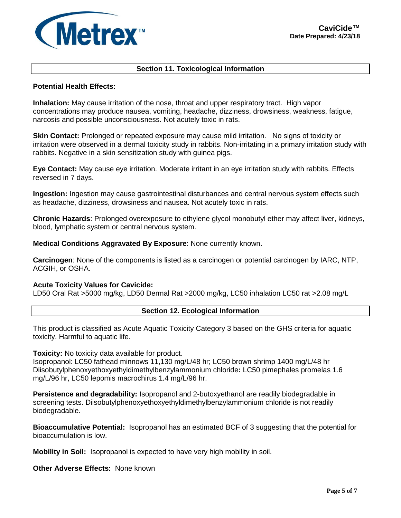

### **Section 11. Toxicological Information**

### **Potential Health Effects:**

**Inhalation:** May cause irritation of the nose, throat and upper respiratory tract. High vapor concentrations may produce nausea, vomiting, headache, dizziness, drowsiness, weakness, fatigue, narcosis and possible unconsciousness. Not acutely toxic in rats.

**Skin Contact:** Prolonged or repeated exposure may cause mild irritation. No signs of toxicity or irritation were observed in a dermal toxicity study in rabbits. Non-irritating in a primary irritation study with rabbits. Negative in a skin sensitization study with guinea pigs.

**Eye Contact:** May cause eye irritation. Moderate irritant in an eye irritation study with rabbits. Effects reversed in 7 days.

**Ingestion:** Ingestion may cause gastrointestinal disturbances and central nervous system effects such as headache, dizziness, drowsiness and nausea. Not acutely toxic in rats.

**Chronic Hazards**: Prolonged overexposure to ethylene glycol monobutyl ether may affect liver, kidneys, blood, lymphatic system or central nervous system.

**Medical Conditions Aggravated By Exposure**: None currently known.

**Carcinogen**: None of the components is listed as a carcinogen or potential carcinogen by IARC, NTP, ACGIH, or OSHA.

#### **Acute Toxicity Values for Cavicide:**

LD50 Oral Rat >5000 mg/kg, LD50 Dermal Rat >2000 mg/kg, LC50 inhalation LC50 rat >2.08 mg/L

### **Section 12. Ecological Information**

This product is classified as Acute Aquatic Toxicity Category 3 based on the GHS criteria for aquatic toxicity. Harmful to aquatic life.

**Toxicity:** No toxicity data available for product.

Isopropanol: LC50 fathead minnows 11,130 mg/L/48 hr; LC50 brown shrimp 1400 mg/L/48 hr Diisobutylphenoxyethoxyethyldimethylbenzylammonium chloride**:** LC50 pimephales promelas 1.6 mg/L/96 hr, LC50 lepomis macrochirus 1.4 mg/L/96 hr.

**Persistence and degradability:** Isopropanol and 2-butoxyethanol are readily biodegradable in screening tests. Diisobutylphenoxyethoxyethyldimethylbenzylammonium chloride is not readily biodegradable.

**Bioaccumulative Potential:** Isopropanol has an estimated BCF of 3 suggesting that the potential for bioaccumulation is low.

**Mobility in Soil:** Isopropanol is expected to have very high mobility in soil.

**Other Adverse Effects:** None known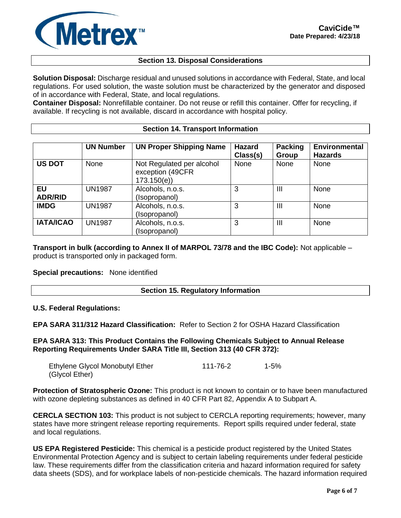

## **Section 13. Disposal Considerations**

**Solution Disposal:** Discharge residual and unused solutions in accordance with Federal, State, and local regulations. For used solution, the waste solution must be characterized by the generator and disposed of in accordance with Federal, State, and local regulations.

**Container Disposal:** Nonrefillable container. Do not reuse or refill this container. Offer for recycling, if available. If recycling is not available, discard in accordance with hospital policy.

#### **Section 14. Transport Information**

|                             | <b>UN Number</b> | <b>UN Proper Shipping Name</b>                              | <b>Hazard</b><br>Class(s) | <b>Packing</b><br>Group | <b>Environmental</b><br><b>Hazards</b> |
|-----------------------------|------------------|-------------------------------------------------------------|---------------------------|-------------------------|----------------------------------------|
| <b>US DOT</b>               | None             | Not Regulated per alcohol<br>exception (49CFR<br>173.150(e) | None                      | None                    | None                                   |
| <b>EU</b><br><b>ADR/RID</b> | <b>UN1987</b>    | Alcohols, n.o.s.<br>(Isopropanol)                           | 3                         | Ш                       | None                                   |
| <b>IMDG</b>                 | <b>UN1987</b>    | Alcohols, n.o.s.<br>(Isopropanol)                           | 3                         | Ш                       | None                                   |
| <b>IATA/ICAO</b>            | <b>UN1987</b>    | Alcohols, n.o.s.<br>(Isopropanol)                           | 3                         | $\mathbf{III}$          | None                                   |

**Transport in bulk (according to Annex II of MARPOL 73/78 and the IBC Code):** Not applicable – product is transported only in packaged form.

### **Special precautions:** None identified

### **Section 15. Regulatory Information**

#### **U.S. Federal Regulations:**

**EPA SARA 311/312 Hazard Classification:** Refer to Section 2 for OSHA Hazard Classification

### **EPA SARA 313: This Product Contains the Following Chemicals Subject to Annual Release Reporting Requirements Under SARA Title III, Section 313 (40 CFR 372):**

| Ethylene Glycol Monobutyl Ether | 111-76-2 | 1-5% |
|---------------------------------|----------|------|
| (Glycol Ether)                  |          |      |

**Protection of Stratospheric Ozone:** This product is not known to contain or to have been manufactured with ozone depleting substances as defined in 40 CFR Part 82, Appendix A to Subpart A.

**CERCLA SECTION 103:** This product is not subject to CERCLA reporting requirements; however, many states have more stringent release reporting requirements. Report spills required under federal, state and local regulations.

**US EPA Registered Pesticide:** This chemical is a pesticide product registered by the United States Environmental Protection Agency and is subject to certain labeling requirements under federal pesticide law. These requirements differ from the classification criteria and hazard information required for safety data sheets (SDS), and for workplace labels of non-pesticide chemicals. The hazard information required